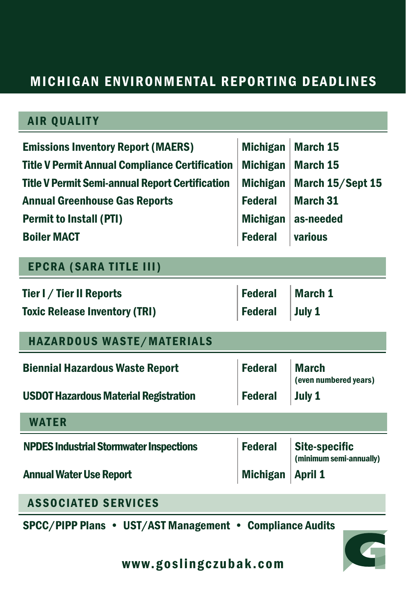## MICHIGAN ENVIRONMENTAL REPORTING DEADLINES

| <b>AIR QUALITY</b>                                       |                 |                                                 |
|----------------------------------------------------------|-----------------|-------------------------------------------------|
| <b>Emissions Inventory Report (MAERS)</b>                | <b>Michigan</b> | <b>March 15</b>                                 |
| <b>Title V Permit Annual Compliance Certification</b>    | <b>Michigan</b> | <b>March 15</b>                                 |
| <b>Title V Permit Semi-annual Report Certification</b>   | <b>Michigan</b> | March 15/Sept 15                                |
| <b>Annual Greenhouse Gas Reports</b>                     | <b>Federal</b>  | <b>March 31</b>                                 |
| <b>Permit to Install (PTI)</b>                           | <b>Michigan</b> | as-needed                                       |
| <b>Boiler MACT</b>                                       | <b>Federal</b>  | various                                         |
| <b>EPCRA (SARA TITLE III)</b>                            |                 |                                                 |
| Tier I / Tier II Reports                                 | <b>Federal</b>  | <b>March 1</b>                                  |
| <b>Toxic Release Inventory (TRI)</b>                     | <b>Federal</b>  | July 1                                          |
| <b>HAZARDOUS WASTE/MATERIALS</b>                         |                 |                                                 |
| <b>Biennial Hazardous Waste Report</b>                   | <b>Federal</b>  | <b>March</b><br>(even numbered years)           |
| <b>USDOT Hazardous Material Registration</b>             | <b>Federal</b>  | July 1                                          |
| <b>WATER</b>                                             |                 |                                                 |
| <b>NPDES Industrial Stormwater Inspections</b>           | <b>Federal</b>  | <b>Site-specific</b><br>(minimum semi-annually) |
| <b>Annual Water Use Report</b>                           | <b>Michigan</b> | <b>April 1</b>                                  |
| <b>ASSOCIATED SERVICES</b>                               |                 |                                                 |
| SPCC/PIPP Plans • UST/AST Management • Compliance Audits |                 |                                                 |



www.goslingczubak.com